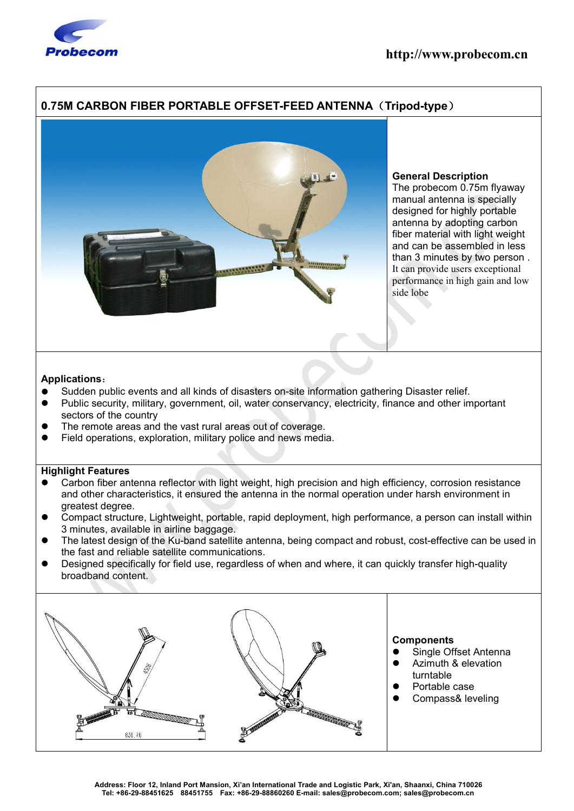

# **0.75M CARBON FIBER PORTABLE OFFSET-FEED ANTENNA**(**Tripod-type**)



## **General Description**

The probecom 0.75m flyaway manual antenna is specially designed for highly portable antenna by adopting carbon fiber material with light weight and can be assembled in less than 3 minutes by two person . It can provide users exceptional performance in high gain and low side lobe

#### **Applications**:

- Sudden public events and all kinds of disasters on-site information gathering Disaster relief.
- Public security, military, government, oil, water conservancy, electricity, finance and other important sectors of the country
- The remote areas and the vast rural areas out of coverage.
- Field operations, exploration, military police and news media.

## **Highlight Features**

- Carbon fiber antenna reflector with light weight, high precision and high efficiency, corrosion resistance and other characteristics, it ensured the antenna in the normal operation under harsh environment in greatest degree.
- Compact structure, Lightweight, portable, rapid deployment, high performance, a person can install within 3 minutes, available in airline baggage.
- The latest design of the Ku-band satellite antenna, being compact and robust, cost-effective can be used in the fast and reliable satellite communications.
- Designed specifically for field use, regardless of when and where, it can quickly transfer high-quality broadband content.